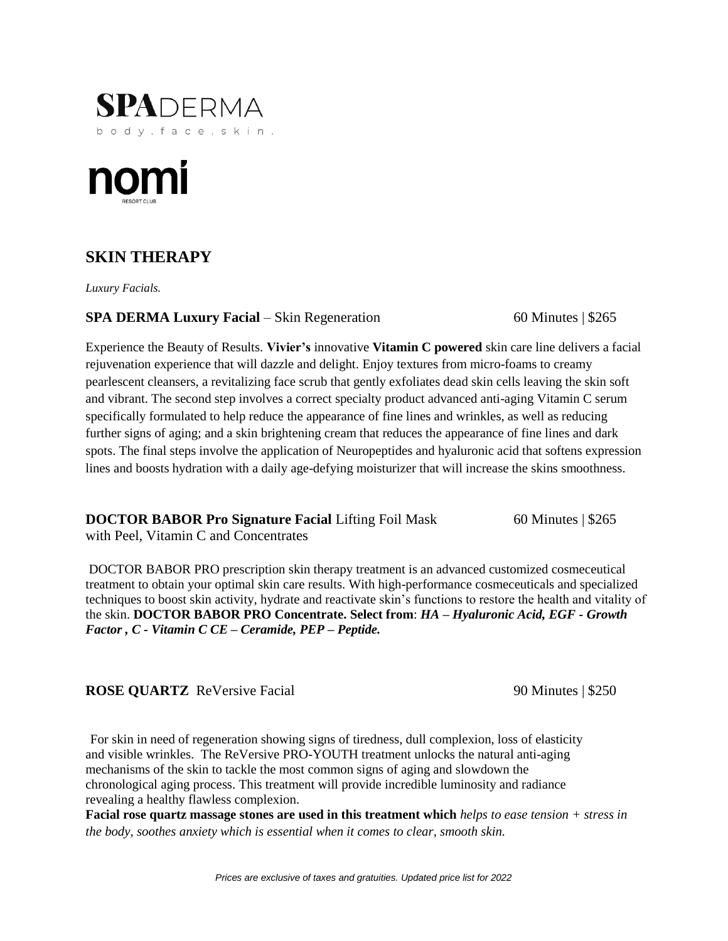



# **SKIN THERAPY**

*Luxury Facials.*

**SPA DERMA Luxury Facial** – Skin Regeneration 60 Minutes | \$265

Experience the Beauty of Results. **Vivier's** innovative **Vitamin C powered** skin care line delivers a facial rejuvenation experience that will dazzle and delight. Enjoy textures from micro-foams to creamy pearlescent cleansers, a revitalizing face scrub that gently exfoliates dead skin cells leaving the skin soft and vibrant. The second step involves a correct specialty product advanced anti-aging Vitamin C serum specifically formulated to help reduce the appearance of fine lines and wrinkles, as well as reducing further signs of aging; and a skin brightening cream that reduces the appearance of fine lines and dark spots. The final steps involve the application of Neuropeptides and hyaluronic acid that softens expression lines and boosts hydration with a daily age-defying moisturizer that will increase the skins smoothness.

**DOCTOR BABOR Pro Signature Facial** Lifting Foil Mask 60 Minutes | \$265

with Peel, Vitamin C and Concentrates

DOCTOR BABOR PRO prescription skin therapy treatment is an advanced customized cosmeceutical treatment to obtain your optimal skin care results. With high-performance cosmeceuticals and specialized techniques to boost skin activity, hydrate and reactivate skin's functions to restore the health and vitality of the skin. **DOCTOR BABOR PRO Concentrate. Select from**: *HA – Hyaluronic Acid, EGF - Growth Factor , C - Vitamin C CE – Ceramide, PEP – Peptide.* 

**ROSE QUARTZ** ReVersive Facial 90 Minutes | \$250

For skin in need of regeneration showing signs of tiredness, dull complexion, loss of elasticity and visible wrinkles. The ReVersive PRO-YOUTH treatment unlocks the natural anti-aging mechanisms of the skin to tackle the most common signs of aging and slowdown the chronological aging process. This treatment will provide incredible luminosity and radiance revealing a healthy flawless complexion.

**Facial rose quartz massage stones are used in this treatment which** *helps to ease tension + stress in the body, soothes anxiety which is essential when it comes to clear, smooth skin.*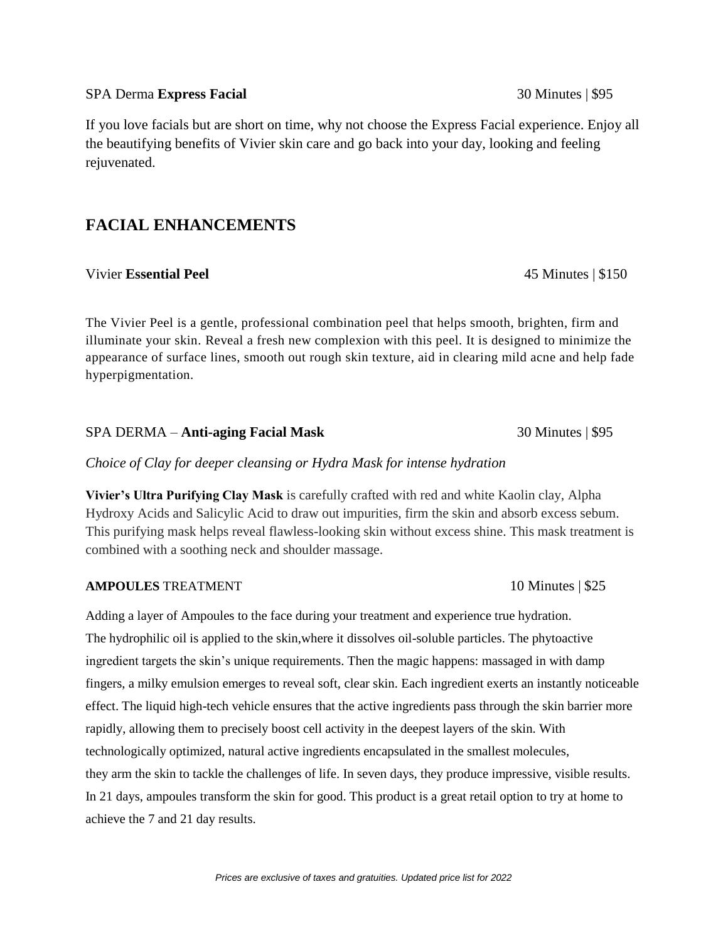# SPA Derma **Express Facial** 30 Minutes | \$95

If you love facials but are short on time, why not choose the Express Facial experience. Enjoy all the beautifying benefits of Vivier skin care and go back into your day, looking and feeling rejuvenated.

# **FACIAL ENHANCEMENTS**

Vivier **Essential Peel** 45 Minutes | \$150

The Vivier Peel is a gentle, professional combination peel that helps smooth, brighten, firm and illuminate your skin. Reveal a fresh new complexion with this peel. It is designed to minimize the appearance of surface lines, smooth out rough skin texture, aid in clearing mild acne and help fade hyperpigmentation.

# SPA DERMA – **Anti-aging Facial Mask** 30 Minutes | \$95

*Choice of Clay for deeper cleansing or Hydra Mask for intense hydration*

**Vivier's Ultra Purifying Clay Mask** is carefully crafted with red and white Kaolin clay, Alpha Hydroxy Acids and Salicylic Acid to draw out impurities, firm the skin and absorb excess sebum. This purifying mask helps reveal flawless-looking skin without excess shine. This mask treatment is combined with a soothing neck and shoulder massage.

### **AMPOULES** TREATMENT 10 Minutes | \$25

Adding a layer of Ampoules to the face during your treatment and experience true hydration. The hydrophilic oil is applied to the skin,where it dissolves oil-soluble particles. The phytoactive ingredient targets the skin's unique requirements. Then the magic happens: massaged in with damp fingers, a milky emulsion emerges to reveal soft, clear skin. Each ingredient exerts an instantly noticeable effect. The liquid high-tech vehicle ensures that the active ingredients pass through the skin barrier more rapidly, allowing them to precisely boost cell activity in the deepest layers of the skin. With technologically optimized, natural active ingredients encapsulated in the smallest molecules, they arm the skin to tackle the challenges of life. In seven days, they produce impressive, visible results. In 21 days, ampoules transform the skin for good. This product is a great retail option to try at home to achieve the 7 and 21 day results.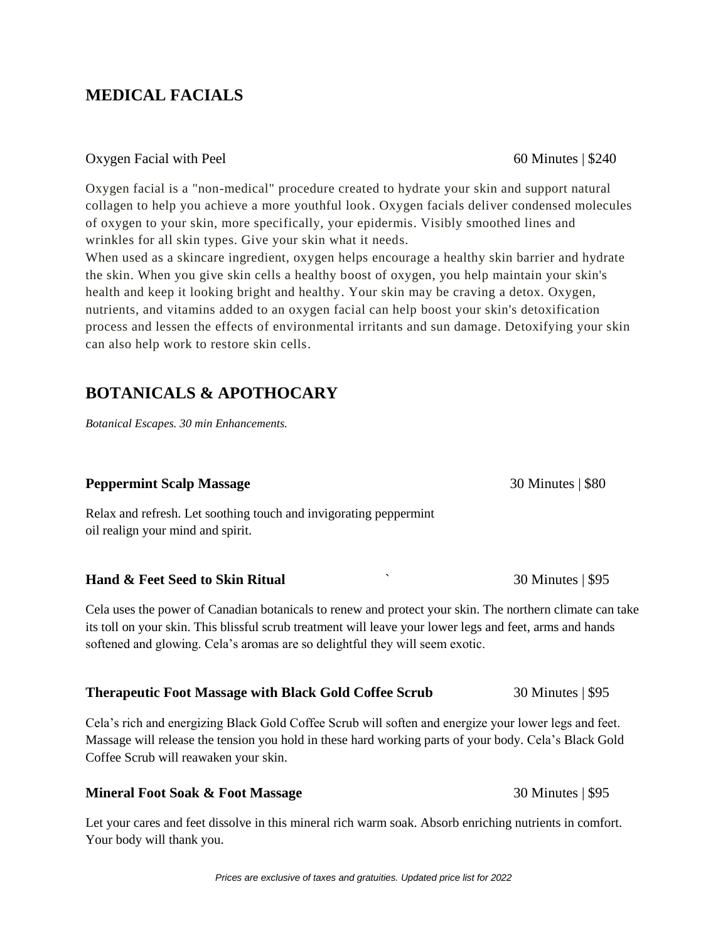#### *Prices are exclusive of taxes and gratuities. Updated price list for 2022*

# **MEDICAL FACIALS**

#### Oxygen Facial with Peel 60 Minutes | \$240

Oxygen facial is a "non-medical" procedure created to hydrate your skin and support natural collagen to help you achieve a more youthful look. Oxygen facials deliver condensed molecules of oxygen to your skin, more specifically, your epidermis. Visibly smoothed lines and wrinkles for all skin types. Give your skin what it needs.

When used as a skincare ingredient, oxygen helps encourage a healthy skin barrier and hydrate the skin. When you give skin cells a healthy boost of oxygen, you help maintain your skin's health and keep it looking bright and healthy. Your skin may be craving a detox. Oxygen, nutrients, and vitamins added to an oxygen facial can help boost your skin's detoxification process and lessen the effects of environmental irritants and sun damage. Detoxifying your skin can also help work to restore skin cells.

# **BOTANICALS & APOTHOCARY**

*Botanical Escapes. 30 min Enhancements.*

# **Peppermint Scalp Massage 30 Minutes | \$80**

Relax and refresh. Let soothing touch and invigorating peppermint oil realign your mind and spirit.

# **Hand & Feet Seed to Skin Ritual**   $\qquad \qquad$  30 Minutes | \$95

Cela uses the power of Canadian botanicals to renew and protect your skin. The northern climate can take its toll on your skin. This blissful scrub treatment will leave your lower legs and feet, arms and hands softened and glowing. Cela's aromas are so delightful they will seem exotic.

### **Therapeutic Foot Massage with Black Gold Coffee Scrub** 30 Minutes | \$95

Cela's rich and energizing Black Gold Coffee Scrub will soften and energize your lower legs and feet. Massage will release the tension you hold in these hard working parts of your body. Cela's Black Gold Coffee Scrub will reawaken your skin.

### **Mineral Foot Soak & Foot Massage** 30 Minutes | \$95

Let your cares and feet dissolve in this mineral rich warm soak. Absorb enriching nutrients in comfort. Your body will thank you.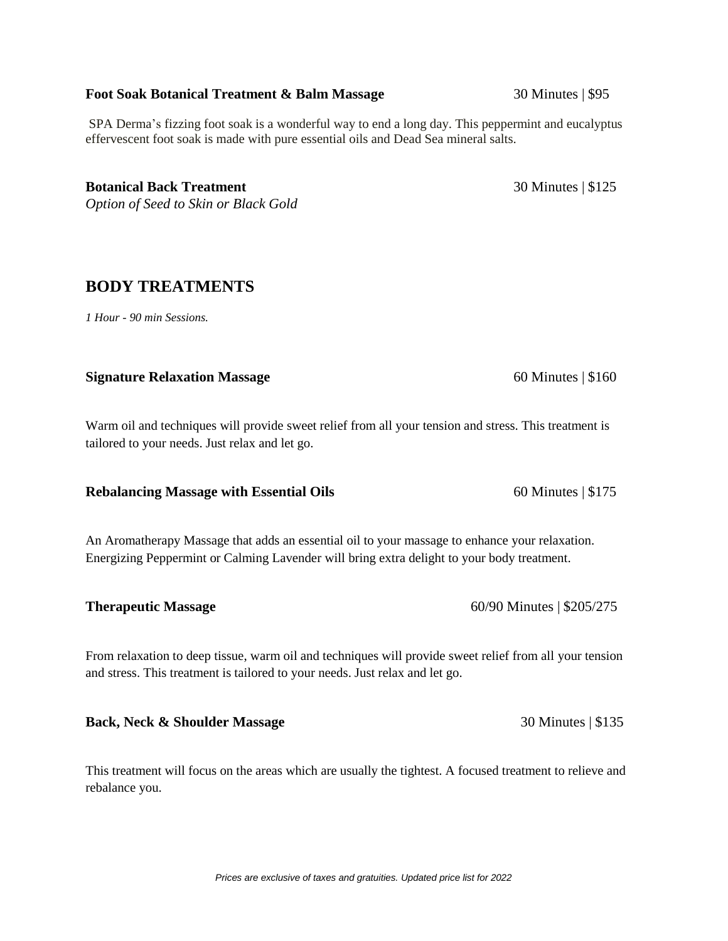#### *Prices are exclusive of taxes and gratuities. Updated price list for 2022*

## **Foot Soak Botanical Treatment & Balm Massage 30 Minutes | \$95**

SPA Derma's fizzing foot soak is a wonderful way to end a long day. This peppermint and eucalyptus effervescent foot soak is made with pure essential oils and Dead Sea mineral salts.

**Botanical Back Treatment** 30 Minutes | \$125 *Option of Seed to Skin or Black Gold*

# **BODY TREATMENTS**

*1 Hour - 90 min Sessions.*

### **Signature Relaxation Massage** 60 Minutes | \$160

Warm oil and techniques will provide sweet relief from all your tension and stress. This treatment is tailored to your needs. Just relax and let go.

### **Rebalancing Massage with Essential Oils** 60 Minutes | \$175

An Aromatherapy Massage that adds an essential oil to your massage to enhance your relaxation. Energizing Peppermint or Calming Lavender will bring extra delight to your body treatment.

From relaxation to deep tissue, warm oil and techniques will provide sweet relief from all your tension and stress. This treatment is tailored to your needs. Just relax and let go.

**Back, Neck & Shoulder Massage** 30 Minutes | \$135

This treatment will focus on the areas which are usually the tightest. A focused treatment to relieve and rebalance you.

**Therapeutic Massage** 60/90 Minutes | \$205/275